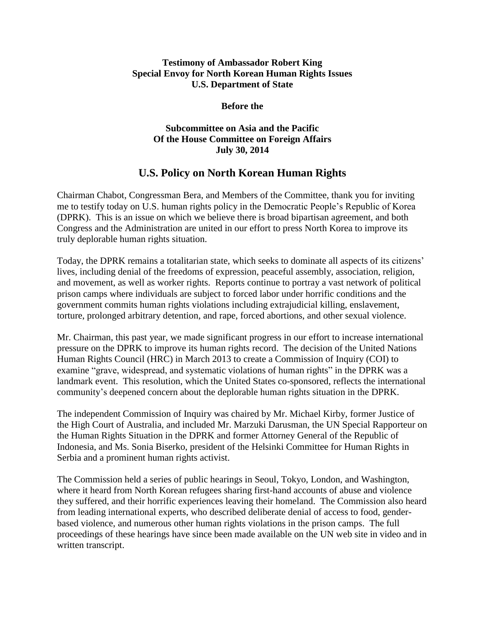## **Testimony of Ambassador Robert King Special Envoy for North Korean Human Rights Issues U.S. Department of State**

## **Before the**

## **Subcommittee on Asia and the Pacific Of the House Committee on Foreign Affairs July 30, 2014**

## **U.S. Policy on North Korean Human Rights**

Chairman Chabot, Congressman Bera, and Members of the Committee, thank you for inviting me to testify today on U.S. human rights policy in the Democratic People's Republic of Korea (DPRK). This is an issue on which we believe there is broad bipartisan agreement, and both Congress and the Administration are united in our effort to press North Korea to improve its truly deplorable human rights situation.

Today, the DPRK remains a totalitarian state, which seeks to dominate all aspects of its citizens' lives, including denial of the freedoms of expression, peaceful assembly, association, religion, and movement, as well as worker rights. Reports continue to portray a vast network of political prison camps where individuals are subject to forced labor under horrific conditions and the government commits human rights violations including extrajudicial killing, enslavement, torture, prolonged arbitrary detention, and rape, forced abortions, and other sexual violence.

Mr. Chairman, this past year, we made significant progress in our effort to increase international pressure on the DPRK to improve its human rights record. The decision of the United Nations Human Rights Council (HRC) in March 2013 to create a Commission of Inquiry (COI) to examine "grave, widespread, and systematic violations of human rights" in the DPRK was a landmark event. This resolution, which the United States co-sponsored, reflects the international community's deepened concern about the deplorable human rights situation in the DPRK.

The independent Commission of Inquiry was chaired by Mr. Michael Kirby, former Justice of the High Court of Australia, and included Mr. Marzuki Darusman, the UN Special Rapporteur on the Human Rights Situation in the DPRK and former Attorney General of the Republic of Indonesia, and Ms. Sonia Biserko, president of the Helsinki Committee for Human Rights in Serbia and a prominent human rights activist.

The Commission held a series of public hearings in Seoul, Tokyo, London, and Washington, where it heard from North Korean refugees sharing first-hand accounts of abuse and violence they suffered, and their horrific experiences leaving their homeland. The Commission also heard from leading international experts, who described deliberate denial of access to food, genderbased violence, and numerous other human rights violations in the prison camps. The full proceedings of these hearings have since been made available on the UN web site in video and in written transcript.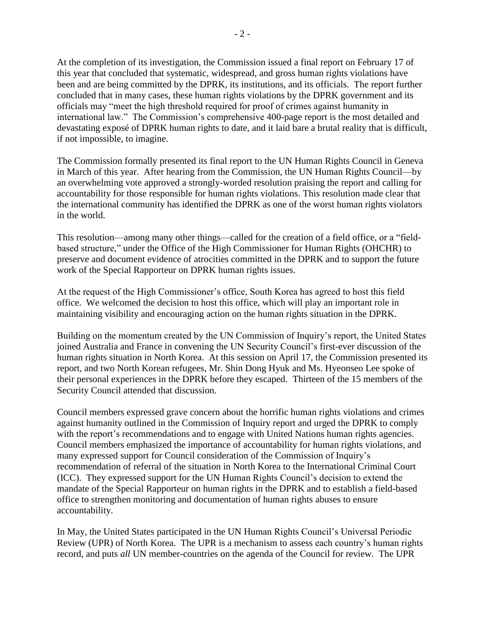At the completion of its investigation, the Commission issued a final report on February 17 of this year that concluded that systematic, widespread, and gross human rights violations have been and are being committed by the DPRK, its institutions, and its officials. The report further concluded that in many cases, these human rights violations by the DPRK government and its officials may "meet the high threshold required for proof of crimes against humanity in international law." The Commission's comprehensive 400-page report is the most detailed and devastating exposé of DPRK human rights to date, and it laid bare a brutal reality that is difficult, if not impossible, to imagine.

The Commission formally presented its final report to the UN Human Rights Council in Geneva in March of this year. After hearing from the Commission, the UN Human Rights Council—by an overwhelming vote approved a strongly-worded resolution praising the report and calling for accountability for those responsible for human rights violations. This resolution made clear that the international community has identified the DPRK as one of the worst human rights violators in the world.

This resolution—among many other things—called for the creation of a field office, or a "fieldbased structure," under the Office of the High Commissioner for Human Rights (OHCHR) to preserve and document evidence of atrocities committed in the DPRK and to support the future work of the Special Rapporteur on DPRK human rights issues.

At the request of the High Commissioner's office, South Korea has agreed to host this field office. We welcomed the decision to host this office, which will play an important role in maintaining visibility and encouraging action on the human rights situation in the DPRK.

Building on the momentum created by the UN Commission of Inquiry's report, the United States joined Australia and France in convening the UN Security Council's first-ever discussion of the human rights situation in North Korea. At this session on April 17, the Commission presented its report, and two North Korean refugees, Mr. Shin Dong Hyuk and Ms. Hyeonseo Lee spoke of their personal experiences in the DPRK before they escaped. Thirteen of the 15 members of the Security Council attended that discussion.

Council members expressed grave concern about the horrific human rights violations and crimes against humanity outlined in the Commission of Inquiry report and urged the DPRK to comply with the report's recommendations and to engage with United Nations human rights agencies. Council members emphasized the importance of accountability for human rights violations, and many expressed support for Council consideration of the Commission of Inquiry's recommendation of referral of the situation in North Korea to the International Criminal Court (ICC). They expressed support for the UN Human Rights Council's decision to extend the mandate of the Special Rapporteur on human rights in the DPRK and to establish a field-based office to strengthen monitoring and documentation of human rights abuses to ensure accountability.

In May, the United States participated in the UN Human Rights Council's Universal Periodic Review (UPR) of North Korea. The UPR is a mechanism to assess each country's human rights record, and puts *all* UN member-countries on the agenda of the Council for review. The UPR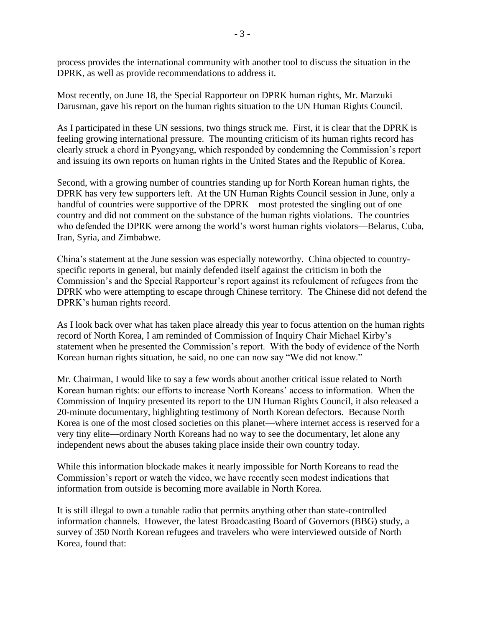process provides the international community with another tool to discuss the situation in the DPRK, as well as provide recommendations to address it.

Most recently, on June 18, the Special Rapporteur on DPRK human rights, Mr. Marzuki Darusman, gave his report on the human rights situation to the UN Human Rights Council.

As I participated in these UN sessions, two things struck me. First, it is clear that the DPRK is feeling growing international pressure. The mounting criticism of its human rights record has clearly struck a chord in Pyongyang, which responded by condemning the Commission's report and issuing its own reports on human rights in the United States and the Republic of Korea.

Second, with a growing number of countries standing up for North Korean human rights, the DPRK has very few supporters left. At the UN Human Rights Council session in June, only a handful of countries were supportive of the DPRK—most protested the singling out of one country and did not comment on the substance of the human rights violations. The countries who defended the DPRK were among the world's worst human rights violators—Belarus, Cuba, Iran, Syria, and Zimbabwe.

China's statement at the June session was especially noteworthy. China objected to countryspecific reports in general, but mainly defended itself against the criticism in both the Commission's and the Special Rapporteur's report against its refoulement of refugees from the DPRK who were attempting to escape through Chinese territory. The Chinese did not defend the DPRK's human rights record.

As I look back over what has taken place already this year to focus attention on the human rights record of North Korea, I am reminded of Commission of Inquiry Chair Michael Kirby's statement when he presented the Commission's report. With the body of evidence of the North Korean human rights situation, he said, no one can now say "We did not know."

Mr. Chairman, I would like to say a few words about another critical issue related to North Korean human rights: our efforts to increase North Koreans' access to information. When the Commission of Inquiry presented its report to the UN Human Rights Council, it also released a 20-minute documentary, highlighting testimony of North Korean defectors. Because North Korea is one of the most closed societies on this planet—where internet access is reserved for a very tiny elite—ordinary North Koreans had no way to see the documentary, let alone any independent news about the abuses taking place inside their own country today.

While this information blockade makes it nearly impossible for North Koreans to read the Commission's report or watch the video, we have recently seen modest indications that information from outside is becoming more available in North Korea.

It is still illegal to own a tunable radio that permits anything other than state-controlled information channels. However, the latest Broadcasting Board of Governors (BBG) study, a survey of 350 North Korean refugees and travelers who were interviewed outside of North Korea, found that: